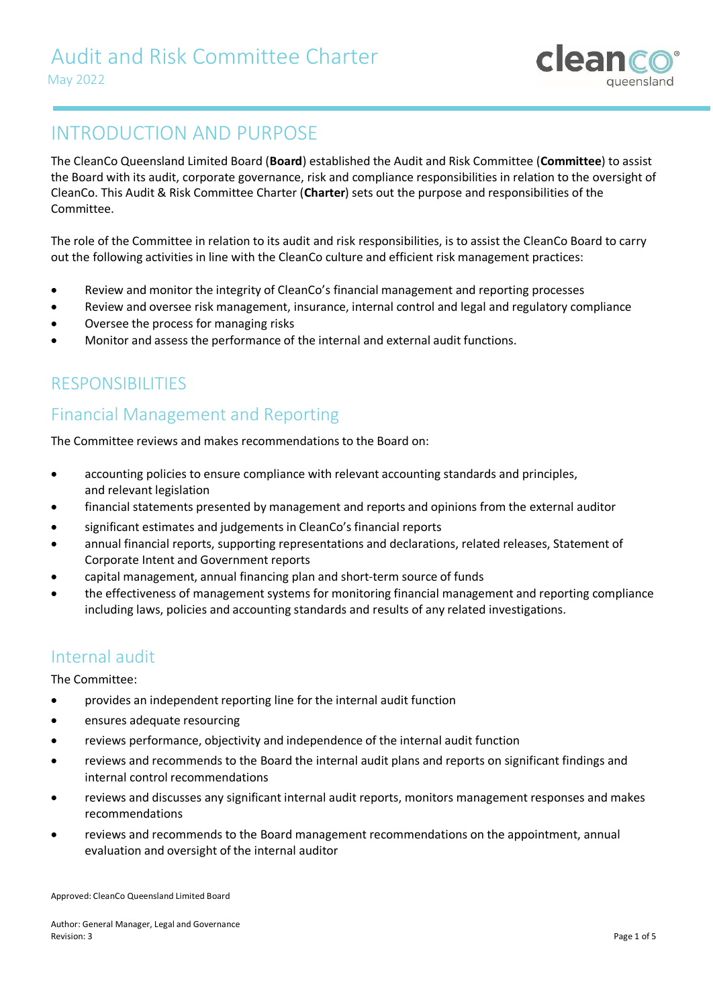

## INTRODUCTION AND PURPOSE

The CleanCo Queensland Limited Board (**Board**) established the Audit and Risk Committee (**Committee**) to assist the Board with its audit, corporate governance, risk and compliance responsibilities in relation to the oversight of CleanCo. This Audit & Risk Committee Charter (**Charter**) sets out the purpose and responsibilities of the Committee.

The role of the Committee in relation to its audit and risk responsibilities, is to assist the CleanCo Board to carry out the following activities in line with the CleanCo culture and efficient risk management practices:

- Review and monitor the integrity of CleanCo's financial management and reporting processes
- Review and oversee risk management, insurance, internal control and legal and regulatory compliance
- Oversee the process for managing risks
- Monitor and assess the performance of the internal and external audit functions.

## RESPONSIBILITIES

## Financial Management and Reporting

The Committee reviews and makes recommendations to the Board on:

- accounting policies to ensure compliance with relevant accounting standards and principles, and relevant legislation
- financial statements presented by management and reports and opinions from the external auditor
- significant estimates and judgements in CleanCo's financial reports
- annual financial reports, supporting representations and declarations, related releases, Statement of Corporate Intent and Government reports
- capital management, annual financing plan and short-term source of funds
- the effectiveness of management systems for monitoring financial management and reporting compliance including laws, policies and accounting standards and results of any related investigations.

## Internal audit

The Committee:

- provides an independent reporting line for the internal audit function
- ensures adequate resourcing
- reviews performance, objectivity and independence of the internal audit function
- reviews and recommends to the Board the internal audit plans and reports on significant findings and internal control recommendations
- reviews and discusses any significant internal audit reports, monitors management responses and makes recommendations
- reviews and recommends to the Board management recommendations on the appointment, annual evaluation and oversight of the internal auditor

Approved: CleanCo Queensland Limited Board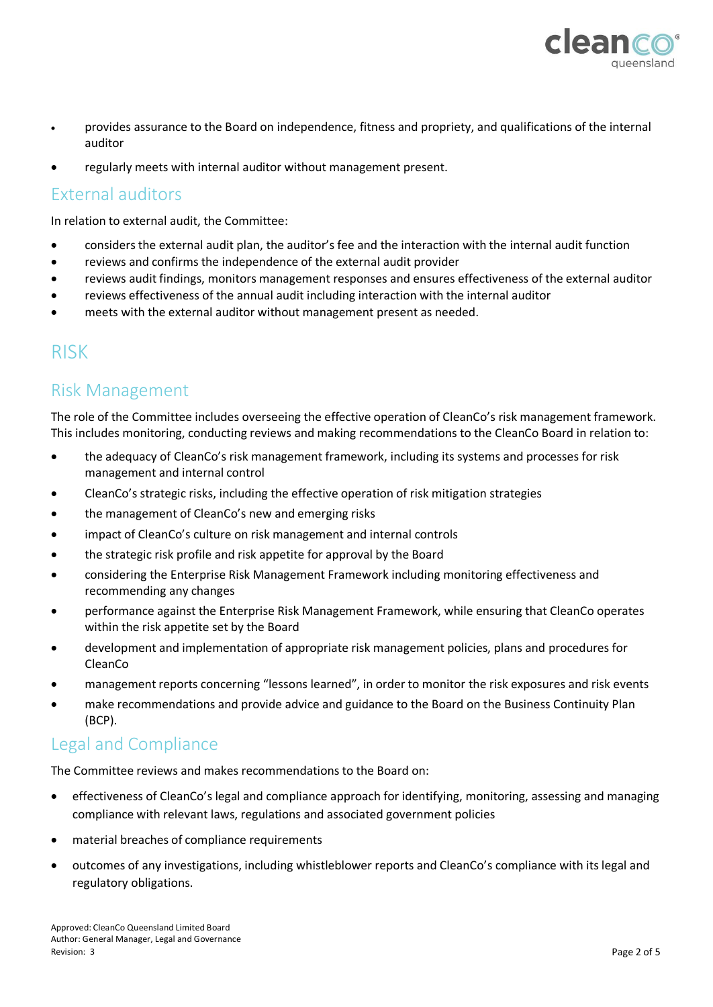

- provides assurance to the Board on independence, fitness and propriety, and qualifications of the internal auditor
- regularly meets with internal auditor without management present.

#### External auditors

In relation to external audit, the Committee:

- considers the external audit plan, the auditor's fee and the interaction with the internal audit function
- reviews and confirms the independence of the external audit provider
- reviews audit findings, monitors management responses and ensures effectiveness of the external auditor
- reviews effectiveness of the annual audit including interaction with the internal auditor
- meets with the external auditor without management present as needed.

## RISK

## Risk Management

The role of the Committee includes overseeing the effective operation of CleanCo's risk management framework. This includes monitoring, conducting reviews and making recommendations to the CleanCo Board in relation to:

- the adequacy of CleanCo's risk management framework, including its systems and processes for risk management and internal control
- CleanCo's strategic risks, including the effective operation of risk mitigation strategies
- the management of CleanCo's new and emerging risks
- impact of CleanCo's culture on risk management and internal controls
- the strategic risk profile and risk appetite for approval by the Board
- considering the Enterprise Risk Management Framework including monitoring effectiveness and recommending any changes
- performance against the Enterprise Risk Management Framework, while ensuring that CleanCo operates within the risk appetite set by the Board
- development and implementation of appropriate risk management policies, plans and procedures for CleanCo
- management reports concerning "lessons learned", in order to monitor the risk exposures and risk events
- make recommendations and provide advice and guidance to the Board on the Business Continuity Plan (BCP).

## Legal and Compliance

The Committee reviews and makes recommendations to the Board on:

- effectiveness of CleanCo's legal and compliance approach for identifying, monitoring, assessing and managing compliance with relevant laws, regulations and associated government policies
- material breaches of compliance requirements
- outcomes of any investigations, including whistleblower reports and CleanCo's compliance with its legal and regulatory obligations.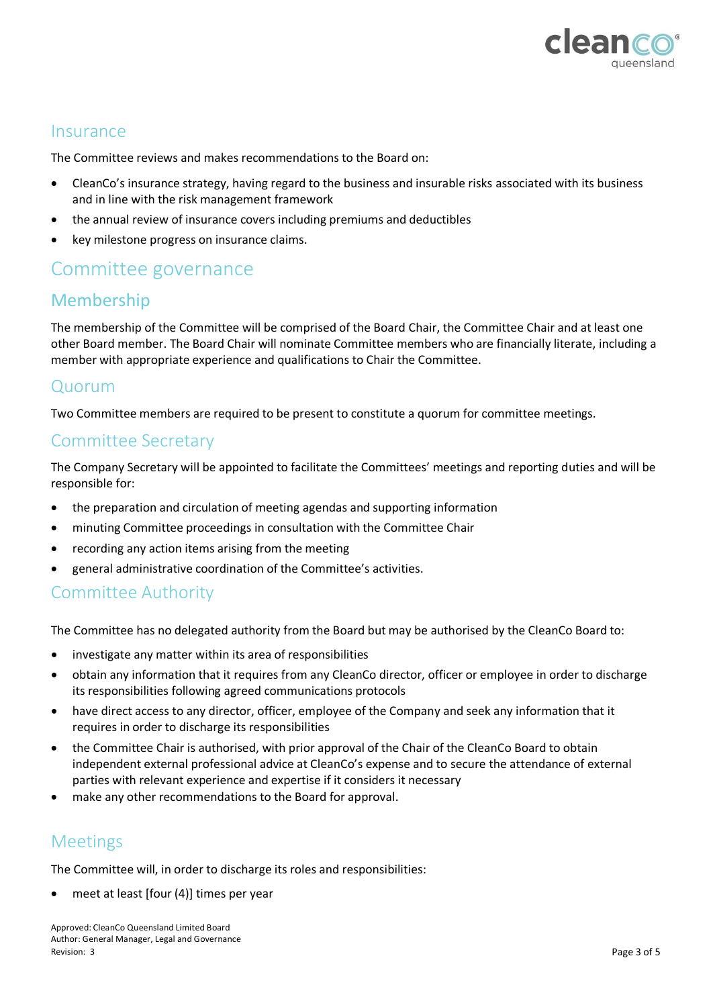

#### **Insurance**

The Committee reviews and makes recommendations to the Board on:

- CleanCo's insurance strategy, having regard to the business and insurable risks associated with its business and in line with the risk management framework
- the annual review of insurance covers including premiums and deductibles
- key milestone progress on insurance claims.

## Committee governance

#### Membership

The membership of the Committee will be comprised of the Board Chair, the Committee Chair and at least one other Board member. The Board Chair will nominate Committee members who are financially literate, including a member with appropriate experience and qualifications to Chair the Committee.

#### Quorum

Two Committee members are required to be present to constitute a quorum for committee meetings.

#### Committee Secretary

The Company Secretary will be appointed to facilitate the Committees' meetings and reporting duties and will be responsible for:

- the preparation and circulation of meeting agendas and supporting information
- minuting Committee proceedings in consultation with the Committee Chair
- recording any action items arising from the meeting
- general administrative coordination of the Committee's activities.

#### Committee Authority

The Committee has no delegated authority from the Board but may be authorised by the CleanCo Board to:

- investigate any matter within its area of responsibilities
- obtain any information that it requires from any CleanCo director, officer or employee in order to discharge its responsibilities following agreed communications protocols
- have direct access to any director, officer, employee of the Company and seek any information that it requires in order to discharge its responsibilities
- the Committee Chair is authorised, with prior approval of the Chair of the CleanCo Board to obtain independent external professional advice at CleanCo's expense and to secure the attendance of external parties with relevant experience and expertise if it considers it necessary
- make any other recommendations to the Board for approval.

## Meetings

The Committee will, in order to discharge its roles and responsibilities:

meet at least [four (4)] times per year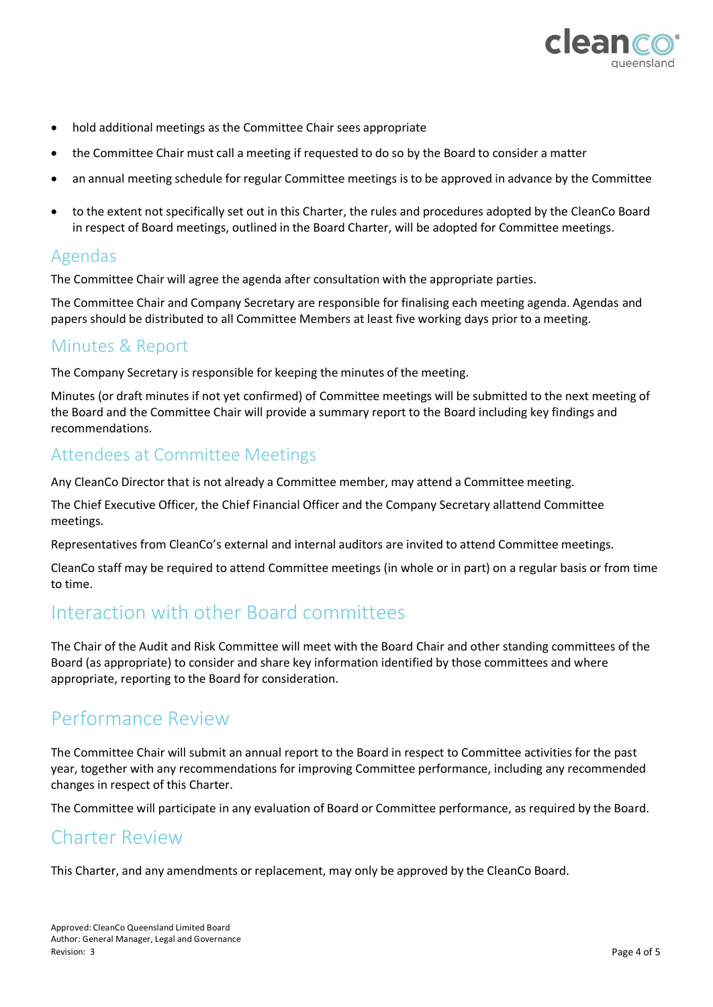

- hold additional meetings as the Committee Chair sees appropriate
- the Committee Chair must call a meeting if requested to do so by the Board to consider a matter
- an annual meeting schedule for regular Committee meetings is to be approved in advance by the Committee
- to the extent not specifically set out in this Charter, the rules and procedures adopted by the CleanCo Board in respect of Board meetings, outlined in the Board Charter, will be adopted for Committee meetings.

## Agendas

The Committee Chair will agree the agenda after consultation with the appropriate parties.

The Committee Chair and Company Secretary are responsible for finalising each meeting agenda. Agendas and papers should be distributed to all Committee Members at least five working days prior to a meeting.

### Minutes & Report

The Company Secretary is responsible for keeping the minutes of the meeting.

Minutes (or draft minutes if not yet confirmed) of Committee meetings will be submitted to the next meeting of the Board and the Committee Chair will provide a summary report to the Board including key findings and recommendations.

#### Attendees at Committee Meetings

Any CleanCo Director that is not already a Committee member, may attend a Committee meeting.

The Chief Executive Officer, the Chief Financial Officer and the Company Secretary allattend Committee meetings.

Representatives from CleanCo's external and internal auditors are invited to attend Committee meetings.

CleanCo staff may be required to attend Committee meetings (in whole or in part) on a regular basis or from time to time.

## Interaction with other Board committees

The Chair of the Audit and Risk Committee will meet with the Board Chair and other standing committees of the Board (as appropriate) to consider and share key information identified by those committees and where appropriate, reporting to the Board for consideration.

## Performance Review

The Committee Chair will submit an annual report to the Board in respect to Committee activities for the past year, together with any recommendations for improving Committee performance, including any recommended changes in respect of this Charter.

The Committee will participate in any evaluation of Board or Committee performance, as required by the Board.

## Charter Review

This Charter, and any amendments or replacement, may only be approved by the CleanCo Board.